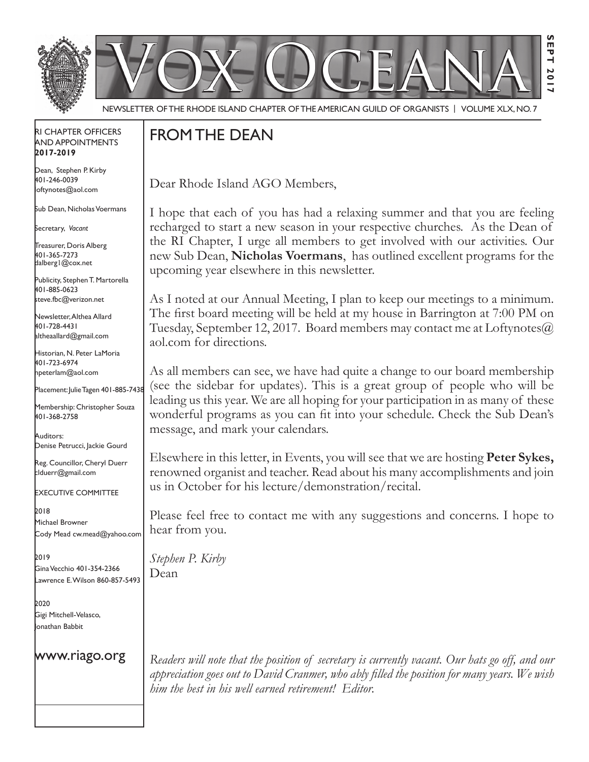

NEWSLETTER OF THE RHODE ISLAND CHAPTER OF THE AMERICAN GUILD OF ORGANISTS | VOLUME XLX, NO. 7

#### rI Chapter offICers aNd appoINtmeNts **2017-2019**

Dean, Stephen P. Kirby 401-246-0039 loftynotes@aol.com

sub dean, Nicholas Voermans

secretary, *Vacant*

Treasurer, Doris Alberg 401-365-7273 dalberg1@cox.net

I Publicity, Stephen T. Martorella 401-885-0623 steve.fbc@verizon.net

Newsletter, Althea Allard 401-728-4431 altheaallard@gmail.com

historian, N. peter lamoria 401-723-6974 npeterlam@aol.com

Placement: Julie Tagen 401-885-7438

Membership: Christopher Souza 401-368-2758

Auditors: Denise Petrucci, Jackie Gourd

Reg. Councillor, Cheryl Duerr clduerr@gmail.com

eXeCutIVe CommIttee

2018 Michael Browner Cody mead cw.mead@yahoo.com

2019 Gina Vecchio 401-354-2366 lawrence e. wilson 860-857-5493

2020 Gigi Mitchell-Velasco, Jonathan Babbit

#### www.riago.org

Dear Rhode Island AGO Members,

from the deaN

I hope that each of you has had a relaxing summer and that you are feeling recharged to start a new season in your respective churches. As the Dean of the RI Chapter, I urge all members to get involved with our activities. Our new Sub Dean, **Nicholas Voermans**, has outlined excellent programs for the upcoming year elsewhere in this newsletter.

As I noted at our Annual Meeting, I plan to keep our meetings to a minimum. The frst board meeting will be held at my house in Barrington at 7:00 PM on Tuesday, September 12, 2017. Board members may contact me at Loftynotes  $\omega$ aol.com for directions.

As all members can see, we have had quite a change to our board membership (see the sidebar for updates). This is a great group of people who will be leading us this year. We are all hoping for your participation in as many of these wonderful programs as you can ft into your schedule. Check the Sub Dean's message, and mark your calendars.

Elsewhere in this letter, in Events, you will see that we are hosting **Peter Sykes,**  renowned organist and teacher. Read about his many accomplishments and join us in October for his lecture/demonstration/recital.

Please feel free to contact me with any suggestions and concerns. I hope to hear from you.

*Stephen P. Kirby* Dean

*Readers will note that the position of secretary is currently vacant. Our hats go off, and our appreciation goes out to David Cranmer, who ably flled the position for many years. We wish him the best in his well earned retirement! Editor.*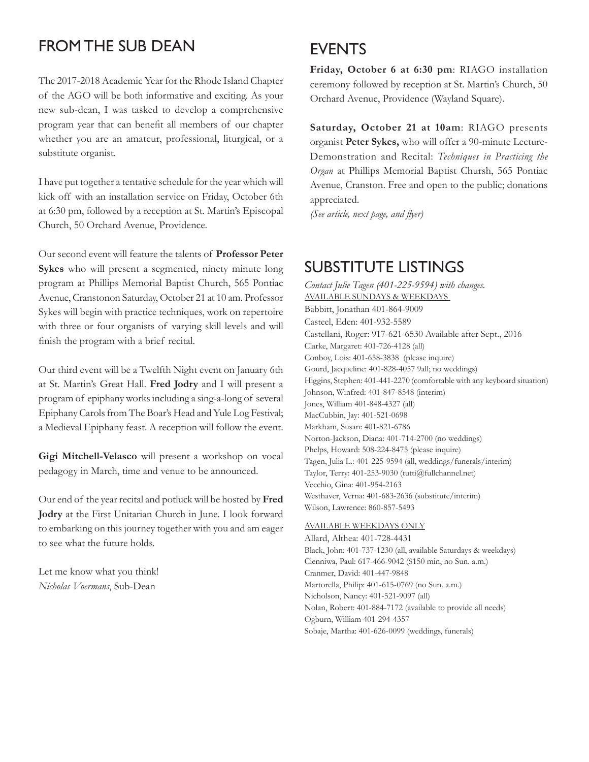## FROM THE SUB DEAN

The 2017-2018 Academic Year for the Rhode Island Chapter of the AGO will be both informative and exciting. As your new sub-dean, I was tasked to develop a comprehensive program year that can beneft all members of our chapter whether you are an amateur, professional, liturgical, or a substitute organist.

I have put together a tentative schedule for the year which will kick off with an installation service on Friday, October 6th at 6:30 pm, followed by a reception at St. Martin's Episcopal Church, 50 Orchard Avenue, Providence.

Our second event will feature the talents of **Professor Peter Sykes** who will present a segmented, ninety minute long program at Phillips Memorial Baptist Church, 565 Pontiac Avenue, Cranstonon Saturday, October 21 at 10 am. Professor Sykes will begin with practice techniques, work on repertoire with three or four organists of varying skill levels and will fnish the program with a brief recital.

Our third event will be a Twelfth Night event on January 6th at St. Martin's Great Hall. **Fred Jodry** and I will present a program of epiphany works including a sing-a-long of several Epiphany Carols from The Boar's Head and Yule Log Festival; a Medieval Epiphany feast. A reception will follow the event.

**Gigi Mitchell-Velasco** will present a workshop on vocal pedagogy in March, time and venue to be announced.

Our end of the year recital and potluck will be hosted by **Fred Jodry** at the First Unitarian Church in June. I look forward to embarking on this journey together with you and am eager to see what the future holds.

Let me know what you think! *Nicholas Voermans*, Sub-Dean

## **EVENTS**

**Friday, October 6 at 6:30 pm**: RIAGO installation ceremony followed by reception at St. Martin's Church, 50 Orchard Avenue, Providence (Wayland Square).

**Saturday, October 21 at 10am**: RIAGO presents organist **Peter Sykes,** who will offer a 90-minute Lecture-Demonstration and Recital: *Techniques in Practicing the Organ* at Phillips Memorial Baptist Chursh, 565 Pontiac Avenue, Cranston. Free and open to the public; donations appreciated.

*(See article, next page, and fyer)*

## **SUBSTITUTE LISTINGS**

*Contact Julie Tagen (401-225-9594) with changes.* AvAILABLE SunDAYS & WEEkDAYS Babbitt, Jonathan 401-864-9009 Casteel, Eden: 401-932-5589 Castellani, Roger: 917-621-6530 Available after Sept., 2016 Clarke, Margaret: 401-726-4128 (all) Conboy, Lois: 401-658-3838 (please inquire) Gourd, Jacqueline: 401-828-4057 9all; no weddings) Higgins, Stephen: 401-441-2270 (comfortable with any keyboard situation) Johnson, Winfred: 401-847-8548 (interim) Jones, William 401-848-4327 (all) MacCubbin, Jay: 401-521-0698 Markham, Susan: 401-821-6786 Norton-Jackson, Diana: 401-714-2700 (no weddings) Phelps, Howard: 508-224-8475 (please inquire) Tagen, Julia L.: 401-225-9594 (all, weddings/funerals/interim) Taylor, Terry: 401-253-9030 (tutti@fullchannel.net) vecchio, Gina: 401-954-2163 Westhaver, verna: 401-683-2636 (substitute/interim) Wilson, Lawrence: 860-857-5493

#### AvAILABLE WEEkDAYS OnLY

Allard, Althea: 401-728-4431 Black, John: 401-737-1230 (all, available Saturdays & weekdays) Cienniwa, Paul: 617-466-9042 (\$150 min, no Sun. a.m.) Cranmer, David: 401-447-9848 Martorella, Philip: 401-615-0769 (no Sun. a.m.) Nicholson, Nancy: 401-521-9097 (all) Nolan, Robert: 401-884-7172 (available to provide all needs) Ogburn, William 401-294-4357 Sobaje, Martha: 401-626-0099 (weddings, funerals)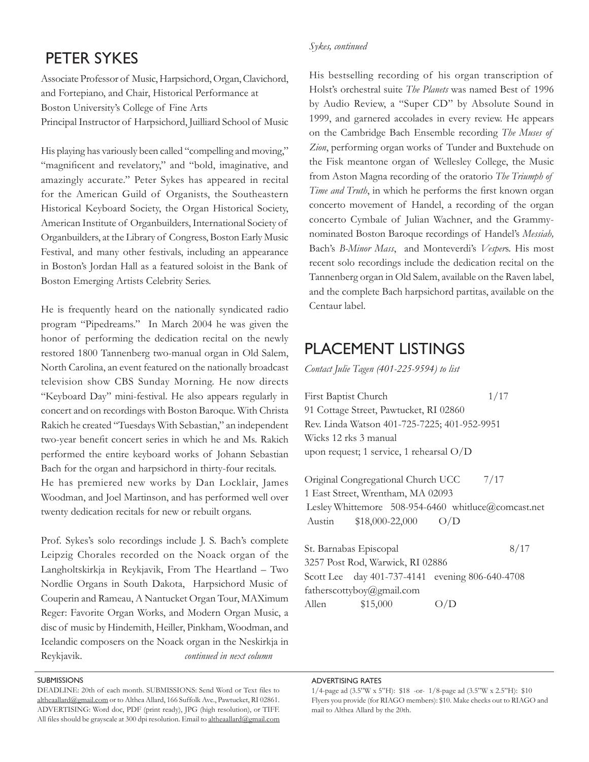## peter sYKes

Associate Professor of Music, Harpsichord, Organ, Clavichord, and Fortepiano, and Chair, Historical Performance at Boston University's College of Fine Arts Principal Instructor of Harpsichord, Juilliard School of Music

His playing has variously been called "compelling and moving," "magnifcent and revelatory," and "bold, imaginative, and amazingly accurate." Peter Sykes has appeared in recital for the American Guild of Organists, the Southeastern Historical keyboard Society, the Organ Historical Society, American Institute of Organbuilders, International Society of Organbuilders, at the Library of Congress, Boston Early Music Festival, and many other festivals, including an appearance in Boston's Jordan Hall as a featured soloist in the Bank of Boston Emerging Artists Celebrity Series.

He is frequently heard on the nationally syndicated radio program "Pipedreams." In March 2004 he was given the honor of performing the dedication recital on the newly restored 1800 Tannenberg two-manual organ in Old Salem, North Carolina, an event featured on the nationally broadcast television show CBS Sunday Morning. He now directs "keyboard Day" mini-festival. He also appears regularly in concert and on recordings with Boston Baroque. With Christa Rakich he created "Tuesdays With Sebastian," an independent two-year beneft concert series in which he and Ms. Rakich performed the entire keyboard works of Johann Sebastian Bach for the organ and harpsichord in thirty-four recitals. He has premiered new works by Dan Locklair, James Woodman, and Joel Martinson, and has performed well over twenty dedication recitals for new or rebuilt organs.

Prof. Sykes's solo recordings include J. S. Bach's complete Leipzig Chorales recorded on the Noack organ of the Langholtskirkja in Reykjavik, From The Heartland – Two Nordlie Organs in South Dakota, Harpsichord Music of Couperin and Rameau, A Nantucket Organ Tour, MAXimum Reger: Favorite Organ Works, and Modern Organ Music, a disc of music by Hindemith, Heiller, Pinkham, Woodman, and Icelandic composers on the Noack organ in the Neskirkja in Reykjavik. *continued in next column* 

#### *Sykes, continued*

His bestselling recording of his organ transcription of Holst's orchestral suite *The Planets* was named Best of 1996 by Audio Review, a "Super CD" by Absolute Sound in 1999, and garnered accolades in every review. He appears on the Cambridge Bach Ensemble recording *The Muses of Zion*, performing organ works of Tunder and Buxtehude on the Fisk meantone organ of Wellesley College, the Music from Aston Magna recording of the oratorio *The Triumph of Time and Truth*, in which he performs the frst known organ concerto movement of Handel, a recording of the organ concerto Cymbale of Julian Wachner, and the Grammynominated Boston Baroque recordings of Handel's *Messiah,*  Bach's *B-Minor Mass*, and Monteverdi's *Vesper*s. His most recent solo recordings include the dedication recital on the Tannenberg organ in Old Salem, available on the Raven label, and the complete Bach harpsichord partitas, available on the Centaur label.

## plaCemeNt lIstINGs

*Contact Julie Tagen (401-225-9594) to list*

First Baptist Church 1/17 91 Cottage Street, Pawtucket, RI 02860 Rev. Linda Watson 401-725-7225; 401-952-9951 Wicks 12 rks 3 manual upon request; 1 service, 1 rehearsal O/D

Original Congregational Church UCC 7/17 1 East Street, Wrentham, MA 02093 Lesley Whittemore 508-954-6460 whitluce@comcast.net Austin \$18,000-22,000 O/D

| St. Barnabas Episcopal           |          | 8/17                                            |  |
|----------------------------------|----------|-------------------------------------------------|--|
| 3257 Post Rod, Warwick, RI 02886 |          |                                                 |  |
|                                  |          | Scott Lee day 401-737-4141 evening 806-640-4708 |  |
| fatherscottyboy@gmail.com        |          |                                                 |  |
| Allen                            | \$15,000 | O/D                                             |  |

#### **SUBMISSIONS**

DEADLInE: 20th of each month. SuBMISSIOnS: Send Word or Text fles to altheaallard@gmail.com or to Althea Allard, 166 Suffolk Ave., Pawtucket, RI 02861. ADvERTISING: Word doc, PDF (print ready), JPG (high resolution), or TIFF. All files should be grayscale at 300 dpi resolution. Email to altheaallard@gmail.com

#### adVertIsING rates

<sup>1/4-</sup>page ad (3.5"W x 5"H): \$18 -or- 1/8-page ad (3.5"W x 2.5"H): \$10 Flyers you provide (for RIAGO members): \$10. Make checks out to RIAGO and mail to Althea Allard by the 20th.